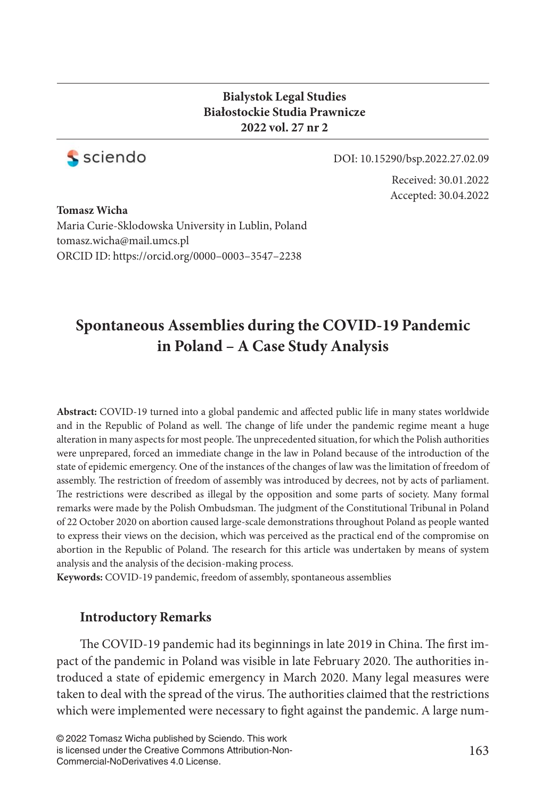#### **Bialystok Legal Studies Białostockie Studia Prawnicze 2022 vol. 27 nr 2**



DOI: 10.15290/bsp.2022.27.02.09

Received: 30.01.2022 Accepted: 30.04.2022

**Tomasz Wicha** Maria Curie-Sklodowska University in Lublin, Poland tomasz.wicha@mail.umcs.pl ORCID ID: https://orcid.org/0000–0003–3547–2238

# **Spontaneous Assemblies during the COVID-19 Pandemic in Poland – A Case Study Analysis**

Abstract: COVID-19 turned into a global pandemic and affected public life in many states worldwide and in the Republic of Poland as well. The change of life under the pandemic regime meant a huge alteration in many aspects for most people. The unprecedented situation, for which the Polish authorities were unprepared, forced an immediate change in the law in Poland because of the introduction of the state of epidemic emergency. One of the instances of the changes of law was the limitation of freedom of assembly. The restriction of freedom of assembly was introduced by decrees, not by acts of parliament. The restrictions were described as illegal by the opposition and some parts of society. Many formal remarks were made by the Polish Ombudsman. The judgment of the Constitutional Tribunal in Poland of 22 October 2020 on abortion caused large-scale demonstrations throughout Poland as people wanted to express their views on the decision, which was perceived as the practical end of the compromise on abortion in the Republic of Poland. The research for this article was undertaken by means of system analysis and the analysis of the decision-making process.

**Keywords:** COVID-19 pandemic, freedom of assembly, spontaneous assemblies

### **Introductory Remarks**

The COVID-19 pandemic had its beginnings in late 2019 in China. The first impact of the pandemic in Poland was visible in late February 2020. The authorities introduced a state of epidemic emergency in March 2020. Many legal measures were taken to deal with the spread of the virus. The authorities claimed that the restrictions which were implemented were necessary to fight against the pandemic. A large num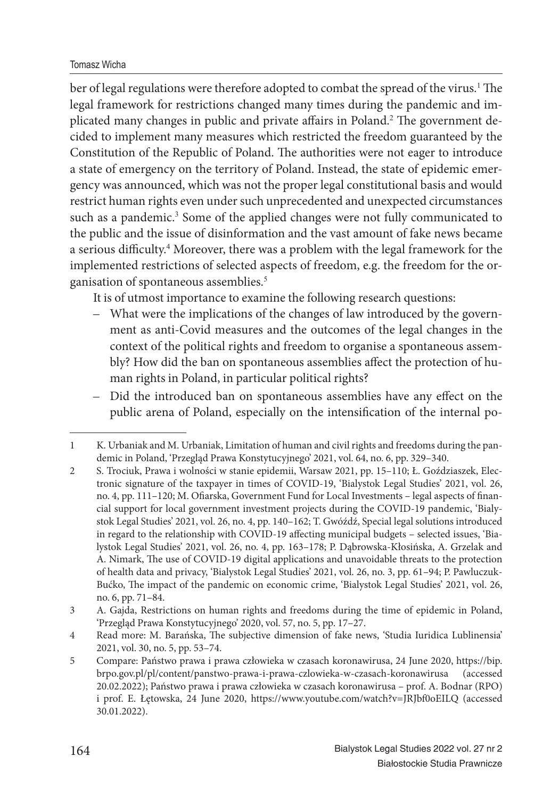Tomasz Wicha

ber of legal regulations were therefore adopted to combat the spread of the virus.<sup>1</sup> The legal framework for restrictions changed many times during the pandemic and implicated many changes in public and private affairs in Poland.<sup>2</sup> The government decided to implement many measures which restricted the freedom guaranteed by the Constitution of the Republic of Poland. The authorities were not eager to introduce a state of emergency on the territory of Poland. Instead, the state of epidemic emergency was announced, which was not the proper legal constitutional basis and would restrict human rights even under such unprecedented and unexpected circumstances such as a pandemic.<sup>3</sup> Some of the applied changes were not fully communicated to the public and the issue of disinformation and the vast amount of fake news became a serious difficulty.<sup>4</sup> Moreover, there was a problem with the legal framework for the implemented restrictions of selected aspects of freedom, e.g. the freedom for the organisation of spontaneous assemblies.<sup>5</sup>

It is of utmost importance to examine the following research questions:

- What were the implications of the changes of law introduced by the government as anti-Covid measures and the outcomes of the legal changes in the context of the political rights and freedom to organise a spontaneous assembly? How did the ban on spontaneous assemblies affect the protection of human rights in Poland, in particular political rights?
- Did the introduced ban on spontaneous assemblies have any effect on the public arena of Poland, especially on the intensification of the internal po-

<sup>1</sup> K. Urbaniak and M. Urbaniak, Limitation of human and civil rights and freedoms during the pandemic in Poland, 'Przegląd Prawa Konstytucyjnego' 2021, vol. 64, no. 6, pp. 329–340.

<sup>2</sup> S. Trociuk, Prawa i wolności w stanie epidemii, Warsaw 2021, pp. 15–110; Ł. Goździaszek, Electronic signature of the taxpayer in times of COVID-19, 'Bialystok Legal Studies' 2021, vol. 26, no. 4, pp. 111-120; M. Ofiarska, Government Fund for Local Investments - legal aspects of financial support for local government investment projects during the COVID-19 pandemic, 'Bialystok Legal Studies' 2021, vol. 26, no. 4, pp. 140–162; T. Gwóźdź, Special legal solutions introduced in regard to the relationship with COVID-19 affecting municipal budgets – selected issues, 'Bialystok Legal Studies' 2021, vol. 26, no. 4, pp. 163–178; P. Dąbrowska-Kłosińska, A. Grzelak and A. Nimark, The use of COVID-19 digital applications and unavoidable threats to the protection of health data and privacy, 'Bialystok Legal Studies' 2021, vol. 26, no. 3, pp. 61–94; P. Pawluczuk-Bućko, The impact of the pandemic on economic crime, 'Bialystok Legal Studies' 2021, vol. 26, no. 6, pp. 71–84.

<sup>3</sup> A. Gajda, Restrictions on human rights and freedoms during the time of epidemic in Poland, 'Przegląd Prawa Konstytucyjnego' 2020, vol. 57, no. 5, pp. 17–27.

<sup>4</sup> Read more: M. Barańska, The subjective dimension of fake news, 'Studia Iuridica Lublinensia' 2021, vol. 30, no. 5, pp. 53–74.

<sup>5</sup> Compare: Państwo prawa i prawa człowieka w czasach koronawirusa, 24 June 2020, https://bip. brpo.gov.pl/pl/content/panstwo-prawa-i-prawa-czlowieka-w-czasach-koronawirusa (accessed 20.02.2022); Państwo prawa i prawa człowieka w czasach koronawirusa – prof. A. Bodnar (RPO) i prof. E. Łętowska, 24 June 2020, https://www.youtube.com/watch?v=JRJbf0oEILQ (accessed 30.01.2022).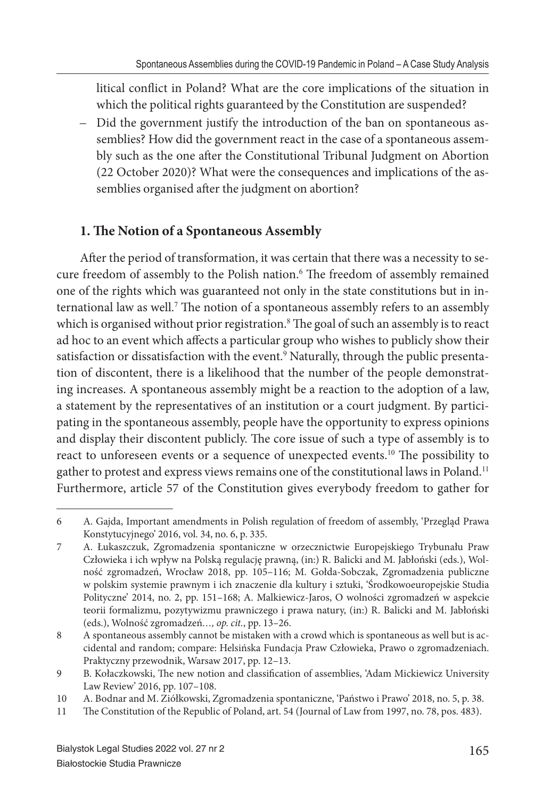litical conflict in Poland? What are the core implications of the situation in which the political rights guaranteed by the Constitution are suspended?

– Did the government justify the introduction of the ban on spontaneous assemblies? How did the government react in the case of a spontaneous assembly such as the one after the Constitutional Tribunal Judgment on Abortion (22 October 2020)? What were the consequences and implications of the assemblies organised after the judgment on abortion?

## **1. The Notion of a Spontaneous Assembly**

After the period of transformation, it was certain that there was a necessity to secure freedom of assembly to the Polish nation.<sup>6</sup> The freedom of assembly remained one of the rights which was guaranteed not only in the state constitutions but in international law as well.<sup>7</sup> The notion of a spontaneous assembly refers to an assembly which is organised without prior registration. $^8$  The goal of such an assembly is to react ad hoc to an event which affects a particular group who wishes to publicly show their satisfaction or dissatisfaction with the event.<sup>9</sup> Naturally, through the public presentation of discontent, there is a likelihood that the number of the people demonstrating increases. A spontaneous assembly might be a reaction to the adoption of a law, a statement by the representatives of an institution or a court judgment. By participating in the spontaneous assembly, people have the opportunity to express opinions and display their discontent publicly. The core issue of such a type of assembly is to react to unforeseen events or a sequence of unexpected events.<sup>10</sup> The possibility to gather to protest and express views remains one of the constitutional laws in Poland.<sup>11</sup> Furthermore, article 57 of the Constitution gives everybody freedom to gather for

<sup>6</sup> A. Gajda, Important amendments in Polish regulation of freedom of assembly, 'Przegląd Prawa Konstytucyjnego' 2016, vol. 34, no. 6, p. 335.

<sup>7</sup> A. Łukaszczuk, Zgromadzenia spontaniczne w orzecznictwie Europejskiego Trybunału Praw Człowieka i ich wpływ na Polską regulację prawną, (in:) R. Balicki and M. Jabłoński (eds.), Wolność zgromadzeń, Wrocław 2018, pp. 105–116; M. Gołda-Sobczak, Zgromadzenia publiczne w polskim systemie prawnym i ich znaczenie dla kultury i sztuki, 'Środkowoeuropejskie Studia Polityczne' 2014, no. 2, pp. 151–168; A. Malkiewicz-Jaros, O wolności zgromadzeń w aspekcie teorii formalizmu, pozytywizmu prawniczego i prawa natury, (in:) R. Balicki and M. Jabłoński (eds.), Wolność zgromadzeń*…, op. cit.*, pp. 13–26.

<sup>8</sup> A spontaneous assembly cannot be mistaken with a crowd which is spontaneous as well but is accidental and random; compare: Helsińska Fundacja Praw Człowieka, Prawo o zgromadzeniach. Praktyczny przewodnik, Warsaw 2017, pp. 12–13.

<sup>9</sup> B. Kołaczkowski, The new notion and classification of assemblies, 'Adam Mickiewicz University Law Review' 2016, pp. 107–108.

<sup>10</sup> A. Bodnar and M. Ziółkowski, Zgromadzenia spontaniczne, 'Państwo i Prawo' 2018, no. 5, p. 38.

<sup>11</sup> The Constitution of the Republic of Poland, art. 54 (Journal of Law from 1997, no. 78, pos. 483).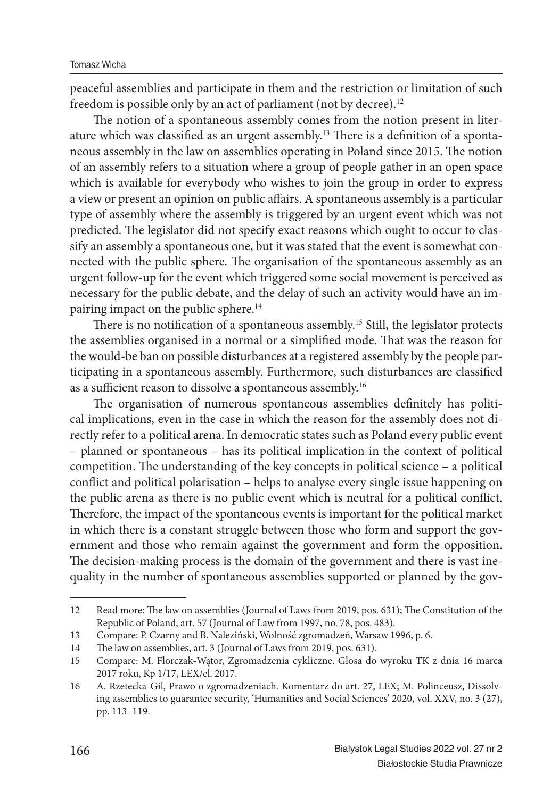peaceful assemblies and participate in them and the restriction or limitation of such freedom is possible only by an act of parliament (not by decree).<sup>12</sup>

The notion of a spontaneous assembly comes from the notion present in literature which was classified as an urgent assembly.<sup>13</sup> There is a definition of a spontaneous assembly in the law on assemblies operating in Poland since 2015. The notion of an assembly refers to a situation where a group of people gather in an open space which is available for everybody who wishes to join the group in order to express a view or present an opinion on public affairs. A spontaneous assembly is a particular type of assembly where the assembly is triggered by an urgent event which was not predicted. The legislator did not specify exact reasons which ought to occur to classify an assembly a spontaneous one, but it was stated that the event is somewhat connected with the public sphere. The organisation of the spontaneous assembly as an urgent follow-up for the event which triggered some social movement is perceived as necessary for the public debate, and the delay of such an activity would have an impairing impact on the public sphere.<sup>14</sup>

There is no notification of a spontaneous assembly.<sup>15</sup> Still, the legislator protects the assemblies organised in a normal or a simplified mode. That was the reason for the would-be ban on possible disturbances at a registered assembly by the people participating in a spontaneous assembly. Furthermore, such disturbances are classified as a sufficient reason to dissolve a spontaneous assembly.<sup>16</sup>

The organisation of numerous spontaneous assemblies definitely has political implications, even in the case in which the reason for the assembly does not directly refer to a political arena. In democratic states such as Poland every public event – planned or spontaneous – has its political implication in the context of political competition. The understanding of the key concepts in political science  $-$  a political conflict and political polarisation – helps to analyse every single issue happening on the public arena as there is no public event which is neutral for a political conflict. Therefore, the impact of the spontaneous events is important for the political market in which there is a constant struggle between those who form and support the government and those who remain against the government and form the opposition. The decision-making process is the domain of the government and there is vast inequality in the number of spontaneous assemblies supported or planned by the gov-

<sup>12</sup> Read more: The law on assemblies (Journal of Laws from 2019, pos. 631); The Constitution of the Republic of Poland, art. 57 (Journal of Law from 1997, no. 78, pos. 483).

<sup>13</sup> Compare: P. Czarny and B. Naleziński, Wolność zgromadzeń, Warsaw 1996, p. 6.

<sup>14</sup> The law on assemblies, art. 3 (Journal of Laws from 2019, pos. 631).

<sup>15</sup> Compare: M. Florczak-Wątor, Zgromadzenia cykliczne. Glosa do wyroku TK z dnia 16 marca 2017 roku, Kp 1/17, LEX/el. 2017.

<sup>16</sup> A. Rzetecka-Gil, Prawo o zgromadzeniach. Komentarz do art. 27, LEX; M. Polinceusz, Dissolving assemblies to guarantee security, 'Humanities and Social Sciences' 2020, vol. XXV, no. 3 (27), pp. 113–119.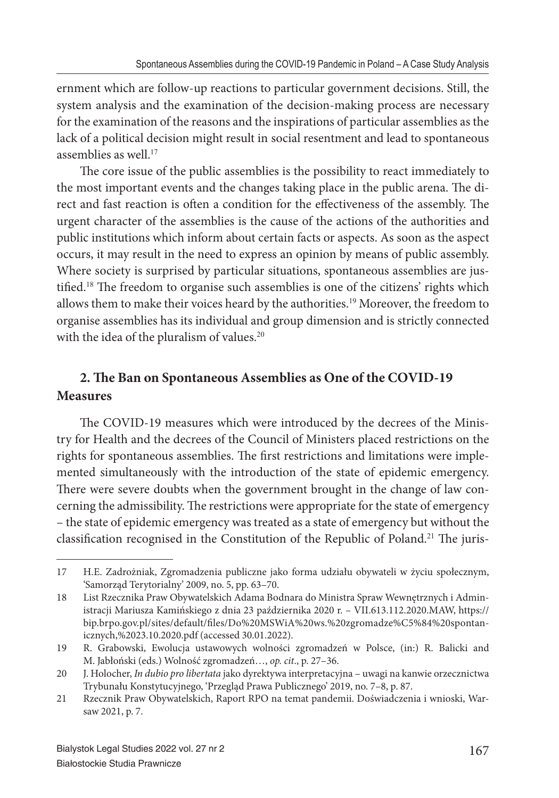ernment which are follow-up reactions to particular government decisions. Still, the system analysis and the examination of the decision-making process are necessary for the examination of the reasons and the inspirations of particular assemblies as the lack of a political decision might result in social resentment and lead to spontaneous assemblies as well.<sup>17</sup>

The core issue of the public assemblies is the possibility to react immediately to the most important events and the changes taking place in the public arena. The direct and fast reaction is often a condition for the effectiveness of the assembly. The urgent character of the assemblies is the cause of the actions of the authorities and public institutions which inform about certain facts or aspects. As soon as the aspect occurs, it may result in the need to express an opinion by means of public assembly. Where society is surprised by particular situations, spontaneous assemblies are justified.<sup>18</sup> The freedom to organise such assemblies is one of the citizens' rights which allows them to make their voices heard by the authorities.<sup>19</sup> Moreover, the freedom to organise assemblies has its individual and group dimension and is strictly connected with the idea of the pluralism of values.<sup>20</sup>

## 2. The Ban on Spontaneous Assemblies as One of the COVID-19 **Measures**

The COVID-19 measures which were introduced by the decrees of the Ministry for Health and the decrees of the Council of Ministers placed restrictions on the rights for spontaneous assemblies. The first restrictions and limitations were implemented simultaneously with the introduction of the state of epidemic emergency. There were severe doubts when the government brought in the change of law concerning the admissibility. The restrictions were appropriate for the state of emergency – the state of epidemic emergency was treated as a state of emergency but without the classification recognised in the Constitution of the Republic of Poland.<sup>21</sup> The juris-

<sup>17</sup> H.E. Zadrożniak, Zgromadzenia publiczne jako forma udziału obywateli w życiu społecznym, 'Samorząd Terytorialny' 2009, no. 5, pp. 63–70.

<sup>18</sup> List Rzecznika Praw Obywatelskich Adama Bodnara do Ministra Spraw Wewnętrznych i Administracji Mariusza Kamińskiego z dnia 23 października 2020 r. – VII.613.112.2020.MAW, https:// bip.brpo.gov.pl/sites/default/files/Do%20MSWiA%20ws.%20zgromadze%C5%84%20spontanicznych,%2023.10.2020.pdf (accessed 30.01.2022).

<sup>19</sup> R. Grabowski, Ewolucja ustawowych wolności zgromadzeń w Polsce, (in:) R. Balicki and M. Jabłoński (eds.) Wolność zgromadzeń…, *op. cit*., p. 27–36.

<sup>20</sup> J. Holocher, *In dubio pro libertata* jako dyrektywa interpretacyjna – uwagi na kanwie orzecznictwa Trybunału Konstytucyjnego, 'Przegląd Prawa Publicznego' 2019, no. 7–8, p. 87.

<sup>21</sup> Rzecznik Praw Obywatelskich, Raport RPO na temat pandemii. Doświadczenia i wnioski, Warsaw 2021, p. 7.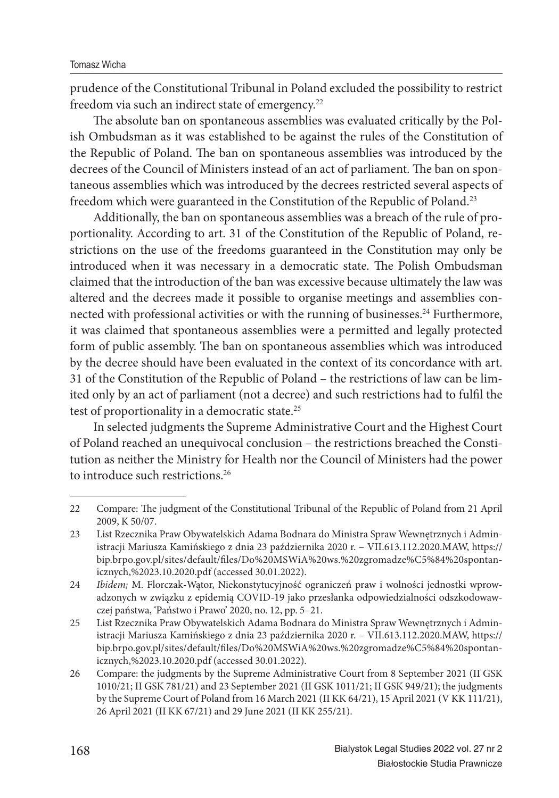prudence of the Constitutional Tribunal in Poland excluded the possibility to restrict freedom via such an indirect state of emergency.<sup>22</sup>

The absolute ban on spontaneous assemblies was evaluated critically by the Polish Ombudsman as it was established to be against the rules of the Constitution of the Republic of Poland. The ban on spontaneous assemblies was introduced by the decrees of the Council of Ministers instead of an act of parliament. The ban on spontaneous assemblies which was introduced by the decrees restricted several aspects of freedom which were guaranteed in the Constitution of the Republic of Poland.<sup>23</sup>

Additionally, the ban on spontaneous assemblies was a breach of the rule of proportionality. According to art. 31 of the Constitution of the Republic of Poland, restrictions on the use of the freedoms guaranteed in the Constitution may only be introduced when it was necessary in a democratic state. The Polish Ombudsman claimed that the introduction of the ban was excessive because ultimately the law was altered and the decrees made it possible to organise meetings and assemblies connected with professional activities or with the running of businesses.<sup>24</sup> Furthermore, it was claimed that spontaneous assemblies were a permitted and legally protected form of public assembly. The ban on spontaneous assemblies which was introduced by the decree should have been evaluated in the context of its concordance with art. 31 of the Constitution of the Republic of Poland – the restrictions of law can be limited only by an act of parliament (not a decree) and such restrictions had to fulfil the test of proportionality in a democratic state.<sup>25</sup>

In selected judgments the Supreme Administrative Court and the Highest Court of Poland reached an unequivocal conclusion – the restrictions breached the Constitution as neither the Ministry for Health nor the Council of Ministers had the power to introduce such restrictions.<sup>26</sup>

<sup>22</sup> Compare: The judgment of the Constitutional Tribunal of the Republic of Poland from 21 April 2009, K 50/07.

<sup>23</sup> List Rzecznika Praw Obywatelskich Adama Bodnara do Ministra Spraw Wewnętrznych i Administracji Mariusza Kamińskiego z dnia 23 października 2020 r. – VII.613.112.2020.MAW, https:// bip.brpo.gov.pl/sites/default/files/Do%20MSWiA%20ws.%20zgromadze%C5%84%20spontanicznych,%2023.10.2020.pdf (accessed 30.01.2022).

<sup>24</sup> *Ibidem;* M. Florczak-Wątor, Niekonstytucyjność ograniczeń praw i wolności jednostki wprowadzonych w związku z epidemią COVID-19 jako przesłanka odpowiedzialności odszkodowawczej państwa, 'Państwo i Prawo' 2020, no. 12, pp. 5–21.

<sup>25</sup> List Rzecznika Praw Obywatelskich Adama Bodnara do Ministra Spraw Wewnętrznych i Administracji Mariusza Kamińskiego z dnia 23 października 2020 r. – VII.613.112.2020.MAW, https:// bip.brpo.gov.pl/sites/default/files/Do%20MSWiA%20ws.%20zgromadze%C5%84%20spontanicznych,%2023.10.2020.pdf (accessed 30.01.2022).

<sup>26</sup> Compare: the judgments by the Supreme Administrative Court from 8 September 2021 (II GSK 1010/21; II GSK 781/21) and 23 September 2021 (II GSK 1011/21; II GSK 949/21); the judgments by the Supreme Court of Poland from 16 March 2021 (II KK 64/21), 15 April 2021 (V KK 111/21), 26 April 2021 (II KK 67/21) and 29 June 2021 (II KK 255/21).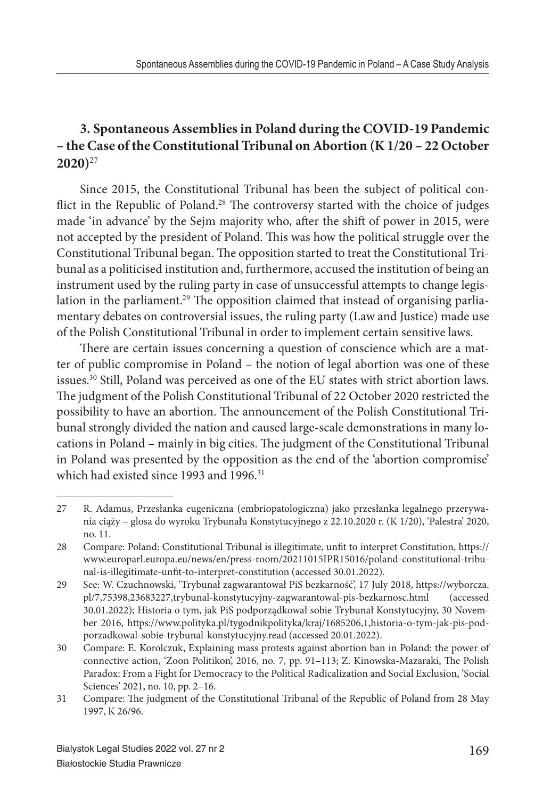## **3. Spontaneous Assemblies in Poland during the COVID-19 Pandemic – the Case of the Constitutional Tribunal on Abortion (K 1/20 – 22 October 2020)**<sup>27</sup>

Since 2015, the Constitutional Tribunal has been the subject of political conflict in the Republic of Poland.<sup>28</sup> The controversy started with the choice of judges made 'in advance' by the Sejm majority who, after the shift of power in 2015, were not accepted by the president of Poland. This was how the political struggle over the Constitutional Tribunal began. The opposition started to treat the Constitutional Tribunal as a politicised institution and, furthermore, accused the institution of being an instrument used by the ruling party in case of unsuccessful attempts to change legislation in the parliament.<sup>29</sup> The opposition claimed that instead of organising parliamentary debates on controversial issues, the ruling party (Law and Justice) made use of the Polish Constitutional Tribunal in order to implement certain sensitive laws.

There are certain issues concerning a question of conscience which are a matter of public compromise in Poland – the notion of legal abortion was one of these issues.<sup>30</sup> Still, Poland was perceived as one of the EU states with strict abortion laws. The judgment of the Polish Constitutional Tribunal of 22 October 2020 restricted the possibility to have an abortion. The announcement of the Polish Constitutional Tribunal strongly divided the nation and caused large-scale demonstrations in many locations in Poland – mainly in big cities. The judgment of the Constitutional Tribunal in Poland was presented by the opposition as the end of the 'abortion compromise' which had existed since 1993 and 1996.<sup>31</sup>

<sup>27</sup> R. Adamus, Przesłanka eugeniczna (embriopatologiczna) jako przesłanka legalnego przerywania ciąży – glosa do wyroku Trybunału Konstytucyjnego z 22.10.2020 r. (K 1/20), 'Palestra' 2020, no. 11.

<sup>28</sup> Compare: Poland: Constitutional Tribunal is illegitimate, unfi t to interpret Constitution, https:// www.europarl.europa.eu/news/en/press-room/20211015IPR15016/poland-constitutional-tribunal-is-illegitimate-unfit-to-interpret-constitution (accessed 30.01.2022).

<sup>29</sup> See: W. Czuchnowski, 'Trybunał zagwarantował PiS bezkarność', 17 July 2018, https://wyborcza. pl/7,75398,23683227,trybunal-konstytucyjny-zagwarantowal-pis-bezkarnosc.html (accessed 30.01.2022); Historia o tym, jak PiS podporządkował sobie Trybunał Konstytucyjny, 30 November 2016, https://www.polityka.pl/tygodnikpolityka/kraj/1685206,1,historia-o-tym-jak-pis-podporzadkowal-sobie-trybunal-konstytucyjny.read (accessed 20.01.2022).

<sup>30</sup> Compare: E. Korolczuk, Explaining mass protests against abortion ban in Poland: the power of connective action, 'Zoon Politikon', 2016, no. 7, pp. 91-113; Z. Kinowska-Mazaraki, The Polish Paradox: From a Fight for Democracy to the Political Radicalization and Social Exclusion, 'Social Sciences' 2021, no. 10, pp. 2–16.

<sup>31</sup> Compare: The judgment of the Constitutional Tribunal of the Republic of Poland from 28 May 1997, K 26/96.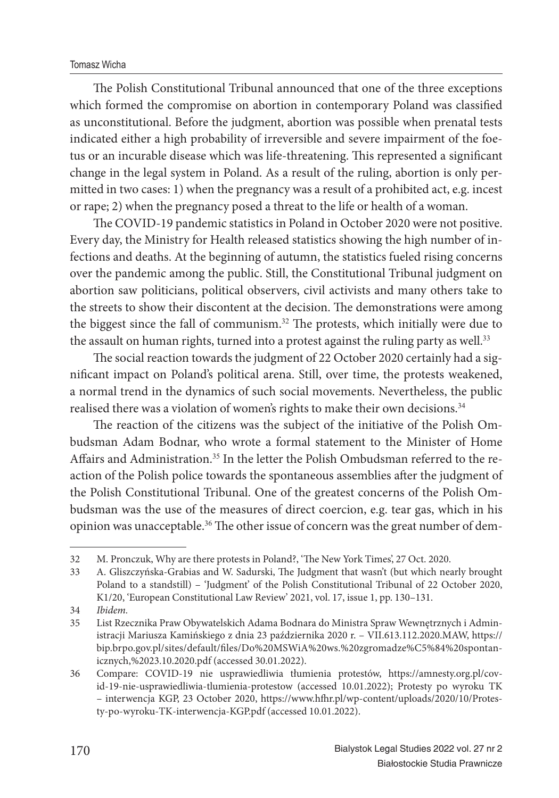The Polish Constitutional Tribunal announced that one of the three exceptions which formed the compromise on abortion in contemporary Poland was classified as unconstitutional. Before the judgment, abortion was possible when prenatal tests indicated either a high probability of irreversible and severe impairment of the foetus or an incurable disease which was life-threatening. This represented a significant change in the legal system in Poland. As a result of the ruling, abortion is only permitted in two cases: 1) when the pregnancy was a result of a prohibited act, e.g. incest or rape; 2) when the pregnancy posed a threat to the life or health of a woman.

The COVID-19 pandemic statistics in Poland in October 2020 were not positive. Every day, the Ministry for Health released statistics showing the high number of infections and deaths. At the beginning of autumn, the statistics fueled rising concerns over the pandemic among the public. Still, the Constitutional Tribunal judgment on abortion saw politicians, political observers, civil activists and many others take to the streets to show their discontent at the decision. The demonstrations were among the biggest since the fall of communism.<sup>32</sup> The protests, which initially were due to the assault on human rights, turned into a protest against the ruling party as well.<sup>33</sup>

The social reaction towards the judgment of 22 October 2020 certainly had a significant impact on Poland's political arena. Still, over time, the protests weakened, a normal trend in the dynamics of such social movements. Nevertheless, the public realised there was a violation of women's rights to make their own decisions.<sup>34</sup>

The reaction of the citizens was the subject of the initiative of the Polish Ombudsman Adam Bodnar, who wrote a formal statement to the Minister of Home Affairs and Administration.<sup>35</sup> In the letter the Polish Ombudsman referred to the reaction of the Polish police towards the spontaneous assemblies after the judgment of the Polish Constitutional Tribunal. One of the greatest concerns of the Polish Ombudsman was the use of the measures of direct coercion, e.g. tear gas, which in his opinion was unacceptable.<sup>36</sup> The other issue of concern was the great number of dem-

<sup>32</sup> M. Pronczuk, Why are there protests in Poland?, 'The New York Times', 27 Oct. 2020.

<sup>33</sup> A. Gliszczyńska-Grabias and W. Sadurski, The Judgment that wasn't (but which nearly brought Poland to a standstill) – 'Judgment' of the Polish Constitutional Tribunal of 22 October 2020, K1/20, 'European Constitutional Law Review' 2021, vol. 17, issue 1, pp. 130–131.

<sup>34</sup> *Ibidem.*

<sup>35</sup> List Rzecznika Praw Obywatelskich Adama Bodnara do Ministra Spraw Wewnętrznych i Administracji Mariusza Kamińskiego z dnia 23 października 2020 r. – VII.613.112.2020.MAW, https:// bip.brpo.gov.pl/sites/default/files/Do%20MSWiA%20ws.%20zgromadze%C5%84%20spontanicznych,%2023.10.2020.pdf (accessed 30.01.2022).

<sup>36</sup> Compare: COVID-19 nie usprawiedliwia tłumienia protestów, https://amnesty.org.pl/covid-19-nie-usprawiedliwia-tlumienia-protestow (accessed 10.01.2022); Protesty po wyroku TK – interwencja KGP, 23 October 2020, https://www.hfh r.pl/wp-content/uploads/2020/10/Protesty-po-wyroku-TK-interwencja-KGP.pdf (accessed 10.01.2022).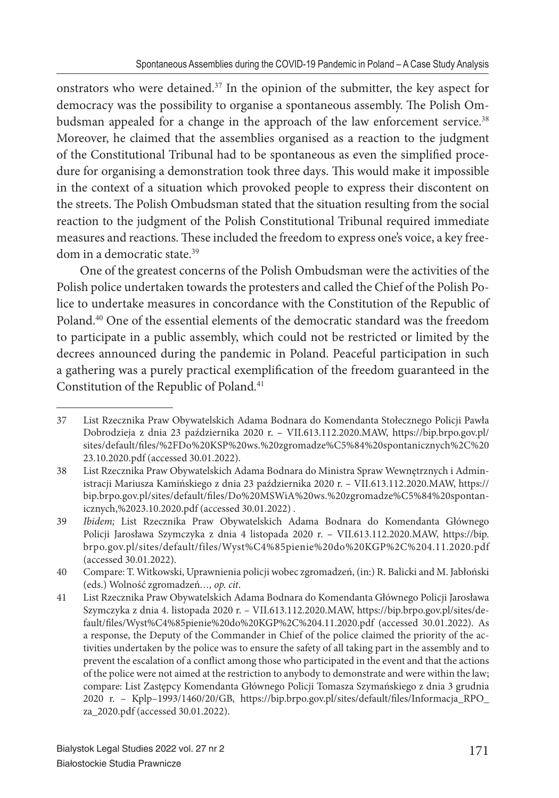onstrators who were detained.<sup>37</sup> In the opinion of the submitter, the key aspect for democracy was the possibility to organise a spontaneous assembly. The Polish Ombudsman appealed for a change in the approach of the law enforcement service.<sup>38</sup> Moreover, he claimed that the assemblies organised as a reaction to the judgment of the Constitutional Tribunal had to be spontaneous as even the simplified procedure for organising a demonstration took three days. This would make it impossible in the context of a situation which provoked people to express their discontent on the streets. The Polish Ombudsman stated that the situation resulting from the social reaction to the judgment of the Polish Constitutional Tribunal required immediate measures and reactions. These included the freedom to express one's voice, a key freedom in a democratic state.<sup>39</sup>

One of the greatest concerns of the Polish Ombudsman were the activities of the Polish police undertaken towards the protesters and called the Chief of the Polish Police to undertake measures in concordance with the Constitution of the Republic of Poland.<sup>40</sup> One of the essential elements of the democratic standard was the freedom to participate in a public assembly, which could not be restricted or limited by the decrees announced during the pandemic in Poland. Peaceful participation in such a gathering was a purely practical exemplification of the freedom guaranteed in the Constitution of the Republic of Poland.<sup>41</sup>

<sup>37</sup> List Rzecznika Praw Obywatelskich Adama Bodnara do Komendanta Stołecznego Policji Pawła Dobrodzieja z dnia 23 października 2020 r. – VII.613.112.2020.MAW, https://bip.brpo.gov.pl/ sites/default/files/%2FDo%20KSP%20ws.%20zgromadze%C5%84%20spontanicznych%2C%20 23.10.2020.pdf (accessed 30.01.2022).

<sup>38</sup> List Rzecznika Praw Obywatelskich Adama Bodnara do Ministra Spraw Wewnętrznych i Administracji Mariusza Kamińskiego z dnia 23 października 2020 r. – VII.613.112.2020.MAW, https:// bip.brpo.gov.pl/sites/default/files/Do%20MSWiA%20ws.%20zgromadze%C5%84%20spontanicznych,%2023.10.2020.pdf (accessed 30.01.2022) .

<sup>39</sup> *Ibidem*; List Rzecznika Praw Obywatelskich Adama Bodnara do Komendanta Głównego Policji Jarosława Szymczyka z dnia 4 listopada 2020 r. – VII.613.112.2020.MAW, https://bip. brpo.gov.pl/sites/default/files/Wyst%C4%85pienie%20do%20KGP%2C%204.11.2020.pdf (accessed 30.01.2022).

<sup>40</sup> Compare: T. Witkowski, Uprawnienia policji wobec zgromadzeń, (in:) R. Balicki and M. Jabłoński (eds.) Wolność zgromadzeń*…, op. cit*.

<sup>41</sup> List Rzecznika Praw Obywatelskich Adama Bodnara do Komendanta Głównego Policji Jarosława Szymczyka z dnia 4. listopada 2020 r. – VII.613.112.2020.MAW, https://bip.brpo.gov.pl/sites/default/fi les/Wyst%C4%85pienie%20do%20KGP%2C%204.11.2020.pdf (accessed 30.01.2022). As a response, the Deputy of the Commander in Chief of the police claimed the priority of the activities undertaken by the police was to ensure the safety of all taking part in the assembly and to prevent the escalation of a conflict among those who participated in the event and that the actions of the police were not aimed at the restriction to anybody to demonstrate and were within the law; compare: List Zastępcy Komendanta Głównego Policji Tomasza Szymańskiego z dnia 3 grudnia 2020 r. – Kplp-1993/1460/20/GB, https://bip.brpo.gov.pl/sites/default/files/Informacja\_RPO\_ za\_2020.pdf (accessed 30.01.2022).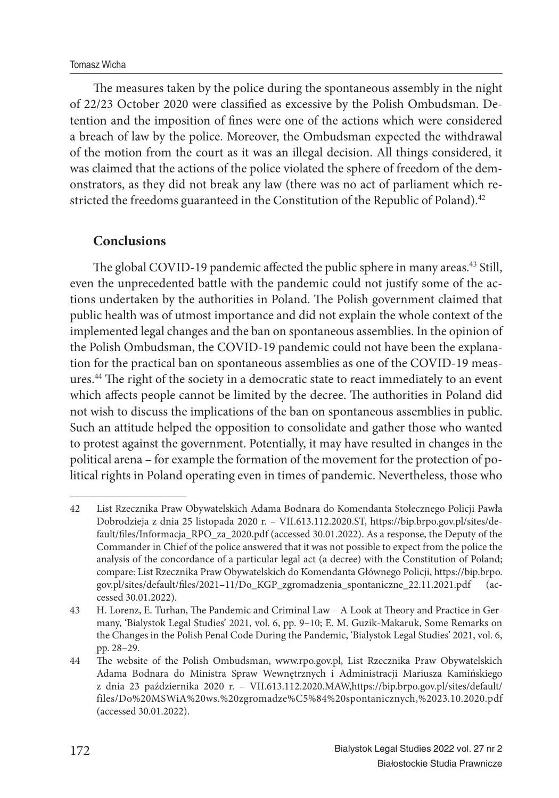The measures taken by the police during the spontaneous assembly in the night of 22/23 October 2020 were classified as excessive by the Polish Ombudsman. Detention and the imposition of fines were one of the actions which were considered a breach of law by the police. Moreover, the Ombudsman expected the withdrawal of the motion from the court as it was an illegal decision. All things considered, it was claimed that the actions of the police violated the sphere of freedom of the demonstrators, as they did not break any law (there was no act of parliament which restricted the freedoms guaranteed in the Constitution of the Republic of Poland).<sup>42</sup>

#### **Conclusions**

The global COVID-19 pandemic affected the public sphere in many areas.<sup>43</sup> Still, even the unprecedented battle with the pandemic could not justify some of the actions undertaken by the authorities in Poland. The Polish government claimed that public health was of utmost importance and did not explain the whole context of the implemented legal changes and the ban on spontaneous assemblies. In the opinion of the Polish Ombudsman, the COVID-19 pandemic could not have been the explanation for the practical ban on spontaneous assemblies as one of the COVID-19 measures.<sup>44</sup> The right of the society in a democratic state to react immediately to an event which affects people cannot be limited by the decree. The authorities in Poland did not wish to discuss the implications of the ban on spontaneous assemblies in public. Such an attitude helped the opposition to consolidate and gather those who wanted to protest against the government. Potentially, it may have resulted in changes in the political arena – for example the formation of the movement for the protection of political rights in Poland operating even in times of pandemic. Nevertheless, those who

<sup>42</sup> List Rzecznika Praw Obywatelskich Adama Bodnara do Komendanta Stołecznego Policji Pawła Dobrodzieja z dnia 25 listopada 2020 r. – VII.613.112.2020.ST, https://bip.brpo.gov.pl/sites/default/files/Informacja\_RPO\_za\_2020.pdf (accessed 30.01.2022). As a response, the Deputy of the Commander in Chief of the police answered that it was not possible to expect from the police the analysis of the concordance of a particular legal act (a decree) with the Constitution of Poland; compare: List Rzecznika Praw Obywatelskich do Komendanta Głównego Policji, https://bip.brpo. gov.pl/sites/default/files/2021-11/Do\_KGP\_zgromadzenia\_spontaniczne\_22.11.2021.pdf (accessed 30.01.2022).

<sup>43</sup> H. Lorenz, E. Turhan, The Pandemic and Criminal Law - A Look at Theory and Practice in Germany, 'Bialystok Legal Studies' 2021, vol. 6, pp. 9–10; E. M. Guzik-Makaruk, Some Remarks on the Changes in the Polish Penal Code During the Pandemic, 'Bialystok Legal Studies' 2021, vol. 6, pp. 28–29.

<sup>44</sup> The website of the Polish Ombudsman, www.rpo.gov.pl, List Rzecznika Praw Obywatelskich Adama Bodnara do Ministra Spraw Wewnętrznych i Administracji Mariusza Kamińskiego z dnia 23 października 2020 r. – VII.613.112.2020.MAW,https://bip.brpo.gov.pl/sites/default/ files/Do%20MSWiA%20ws.%20zgromadze%C5%84%20spontanicznych,%2023.10.2020.pdf (accessed 30.01.2022).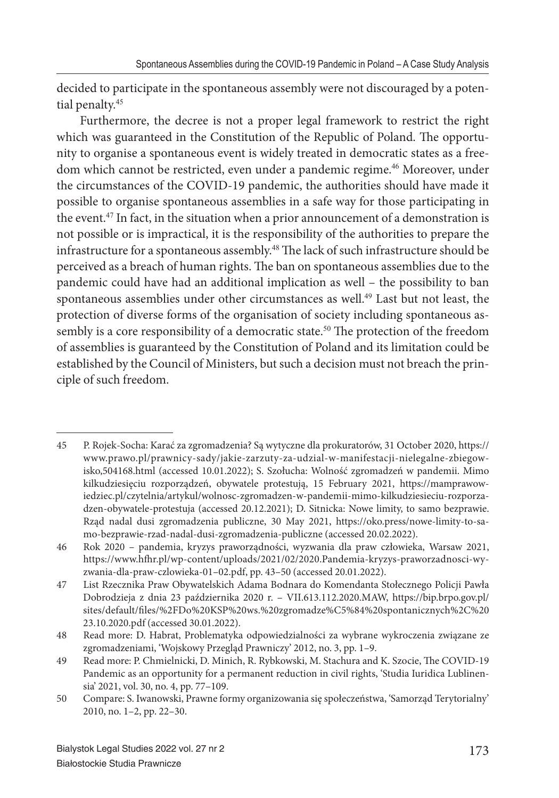decided to participate in the spontaneous assembly were not discouraged by a potential penalty.<sup>45</sup>

Furthermore, the decree is not a proper legal framework to restrict the right which was guaranteed in the Constitution of the Republic of Poland. The opportunity to organise a spontaneous event is widely treated in democratic states as a freedom which cannot be restricted, even under a pandemic regime.<sup>46</sup> Moreover, under the circumstances of the COVID-19 pandemic, the authorities should have made it possible to organise spontaneous assemblies in a safe way for those participating in the event.<sup>47</sup> In fact, in the situation when a prior announcement of a demonstration is not possible or is impractical, it is the responsibility of the authorities to prepare the infrastructure for a spontaneous assembly.<sup>48</sup> The lack of such infrastructure should be perceived as a breach of human rights. The ban on spontaneous assemblies due to the pandemic could have had an additional implication as well – the possibility to ban spontaneous assemblies under other circumstances as well.<sup>49</sup> Last but not least, the protection of diverse forms of the organisation of society including spontaneous assembly is a core responsibility of a democratic state.<sup>50</sup> The protection of the freedom of assemblies is guaranteed by the Constitution of Poland and its limitation could be established by the Council of Ministers, but such a decision must not breach the principle of such freedom.

<sup>45</sup> P. Rojek-Socha: Karać za zgromadzenia? Są wytyczne dla prokuratorów, 31 October 2020, https:// www.prawo.pl/prawnicy-sady/jakie-zarzuty-za-udzial-w-manifestacji-nielegalne-zbiegowisko,504168.html (accessed 10.01.2022); S. Szołucha: Wolność zgromadzeń w pandemii. Mimo kilkudziesięciu rozporządzeń, obywatele protestują, 15 February 2021, https://mamprawowiedziec.pl/czytelnia/artykul/wolnosc-zgromadzen-w-pandemii-mimo-kilkudziesieciu-rozporzadzen-obywatele-protestuja (accessed 20.12.2021); D. Sitnicka: Nowe limity, to samo bezprawie. Rząd nadal dusi zgromadzenia publiczne, 30 May 2021, https://oko.press/nowe-limity-to-samo-bezprawie-rzad-nadal-dusi-zgromadzenia-publiczne (accessed 20.02.2022).

<sup>46</sup> Rok 2020 – pandemia, kryzys praworządności, wyzwania dla praw człowieka, Warsaw 2021, https://www.hfh r.pl/wp-content/uploads/2021/02/2020.Pandemia-kryzys-praworzadnosci-wyzwania-dla-praw-czlowieka-01–02.pdf, pp. 43–50 (accessed 20.01.2022).

<sup>47</sup> List Rzecznika Praw Obywatelskich Adama Bodnara do Komendanta Stołecznego Policji Pawła Dobrodzieja z dnia 23 października 2020 r. – VII.613.112.2020.MAW, https://bip.brpo.gov.pl/ sites/default/fi les/%2FDo%20KSP%20ws.%20zgromadze%C5%84%20spontanicznych%2C%20 23.10.2020.pdf (accessed 30.01.2022).

<sup>48</sup> Read more: D. Habrat, Problematyka odpowiedzialności za wybrane wykroczenia związane ze zgromadzeniami, 'Wojskowy Przegląd Prawniczy' 2012, no. 3, pp. 1–9.

<sup>49</sup> Read more: P. Chmielnicki, D. Minich, R. Rybkowski, M. Stachura and K. Szocie, The COVID-19 Pandemic as an opportunity for a permanent reduction in civil rights, 'Studia Iuridica Lublinensia' 2021, vol. 30, no. 4, pp. 77–109.

<sup>50</sup> Compare: S. Iwanowski, Prawne formy organizowania się społeczeństwa, 'Samorząd Terytorialny' 2010, no. 1–2, pp. 22–30.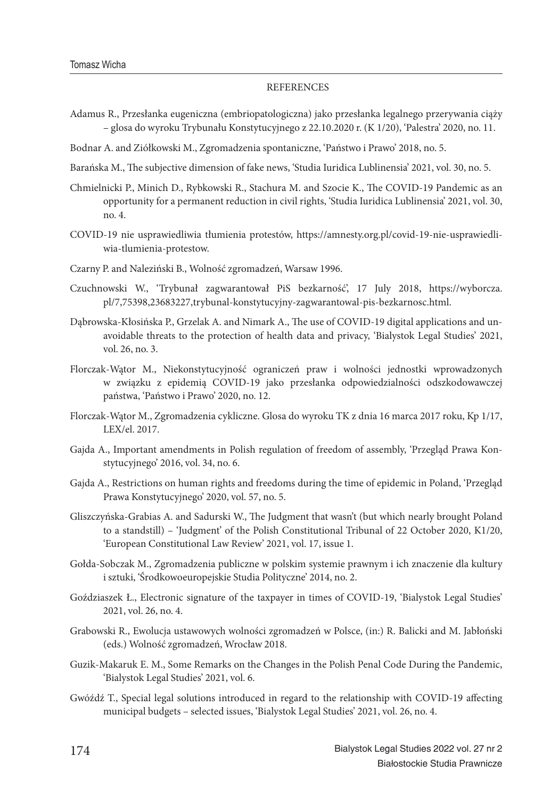#### **REFERENCES**

- Adamus R., Przesłanka eugeniczna (embriopatologiczna) jako przesłanka legalnego przerywania ciąży – glosa do wyroku Trybunału Konstytucyjnego z 22.10.2020 r. (K 1/20), 'Palestra' 2020, no. 11.
- Bodnar A. and Ziółkowski M., Zgromadzenia spontaniczne, 'Państwo i Prawo' 2018, no. 5.
- Barańska M., The subjective dimension of fake news, 'Studia Iuridica Lublinensia' 2021, vol. 30, no. 5.
- Chmielnicki P., Minich D., Rybkowski R., Stachura M. and Szocie K., The COVID-19 Pandemic as an opportunity for a permanent reduction in civil rights, 'Studia Iuridica Lublinensia' 2021, vol. 30, no. 4.
- COVID-19 nie usprawiedliwia tłumienia protestów, https://amnesty.org.pl/covid-19-nie-usprawiedliwia-tlumienia-protestow.
- Czarny P. and Naleziński B., Wolność zgromadzeń, Warsaw 1996.
- Czuchnowski W., 'Trybunał zagwarantował PiS bezkarność', 17 July 2018, https://wyborcza. pl/7,75398,23683227,trybunal-konstytucyjny-zagwarantowal-pis-bezkarnosc.html.
- Dąbrowska-Kłosińska P., Grzelak A. and Nimark A., The use of COVID-19 digital applications and unavoidable threats to the protection of health data and privacy, 'Bialystok Legal Studies' 2021, vol. 26, no. 3.
- Florczak-Wątor M., Niekonstytucyjność ograniczeń praw i wolności jednostki wprowadzonych w związku z epidemią COVID-19 jako przesłanka odpowiedzialności odszkodowawczej państwa, 'Państwo i Prawo' 2020, no. 12.
- Florczak-Wątor M., Zgromadzenia cykliczne. Glosa do wyroku TK z dnia 16 marca 2017 roku, Kp 1/17, LEX/el. 2017.
- Gajda A., Important amendments in Polish regulation of freedom of assembly, 'Przegląd Prawa Konstytucyjnego' 2016, vol. 34, no. 6.
- Gajda A., Restrictions on human rights and freedoms during the time of epidemic in Poland, 'Przegląd Prawa Konstytucyjnego' 2020, vol. 57, no. 5.
- Gliszczyńska-Grabias A. and Sadurski W., The Judgment that wasn't (but which nearly brought Poland to a standstill) – 'Judgment' of the Polish Constitutional Tribunal of 22 October 2020, K1/20, 'European Constitutional Law Review' 2021, vol. 17, issue 1.
- Gołda-Sobczak M., Zgromadzenia publiczne w polskim systemie prawnym i ich znaczenie dla kultury i sztuki, 'Środkowoeuropejskie Studia Polityczne' 2014, no. 2.
- Goździaszek Ł., Electronic signature of the taxpayer in times of COVID-19, 'Bialystok Legal Studies' 2021, vol. 26, no. 4.
- Grabowski R., Ewolucja ustawowych wolności zgromadzeń w Polsce, (in:) R. Balicki and M. Jabłoński (eds.) Wolność zgromadzeń, Wrocław 2018.
- Guzik-Makaruk E. M., Some Remarks on the Changes in the Polish Penal Code During the Pandemic, 'Bialystok Legal Studies' 2021, vol. 6.
- Gwóźdź T., Special legal solutions introduced in regard to the relationship with COVID-19 affecting municipal budgets – selected issues, 'Bialystok Legal Studies' 2021, vol. 26, no. 4.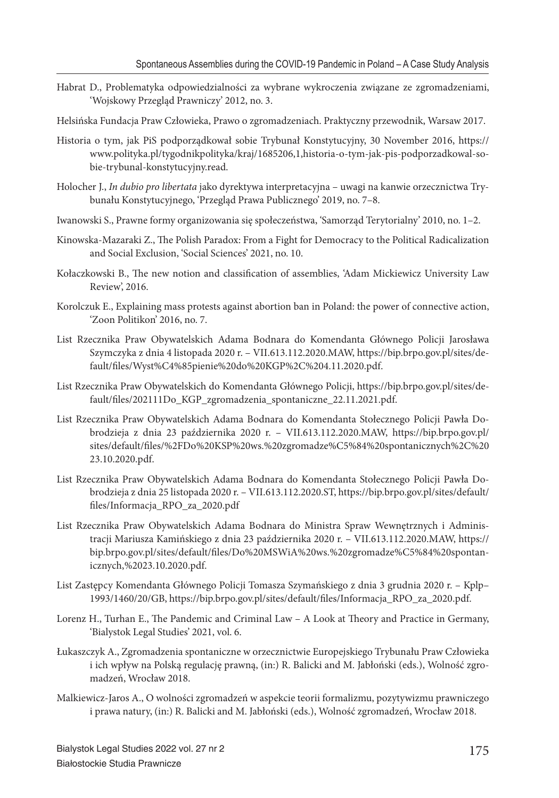- Habrat D., Problematyka odpowiedzialności za wybrane wykroczenia związane ze zgromadzeniami, 'Wojskowy Przegląd Prawniczy' 2012, no. 3.
- Helsińska Fundacja Praw Człowieka, Prawo o zgromadzeniach. Praktyczny przewodnik, Warsaw 2017.
- Historia o tym, jak PiS podporządkował sobie Trybunał Konstytucyjny, 30 November 2016, https:// www.polityka.pl/tygodnikpolityka/kraj/1685206,1,historia-o-tym-jak-pis-podporzadkowal-sobie-trybunal-konstytucyjny.read.
- Holocher J., *In dubio pro libertata* jako dyrektywa interpretacyjna uwagi na kanwie orzecznictwa Trybunału Konstytucyjnego, 'Przegląd Prawa Publicznego' 2019, no. 7–8.
- Iwanowski S., Prawne formy organizowania się społeczeństwa, 'Samorząd Terytorialny' 2010, no. 1–2.
- Kinowska-Mazaraki Z., The Polish Paradox: From a Fight for Democracy to the Political Radicalization and Social Exclusion, 'Social Sciences' 2021, no. 10.
- Kołaczkowski B., The new notion and classification of assemblies, 'Adam Mickiewicz University Law Review', 2016.
- Korolczuk E., Explaining mass protests against abortion ban in Poland: the power of connective action, 'Zoon Politikon' 2016, no. 7.
- List Rzecznika Praw Obywatelskich Adama Bodnara do Komendanta Głównego Policji Jarosława Szymczyka z dnia 4 listopada 2020 r. – VII.613.112.2020.MAW, https://bip.brpo.gov.pl/sites/default/fi les/Wyst%C4%85pienie%20do%20KGP%2C%204.11.2020.pdf.
- List Rzecznika Praw Obywatelskich do Komendanta Głównego Policji, https://bip.brpo.gov.pl/sites/default/files/202111Do\_KGP\_zgromadzenia\_spontaniczne\_22.11.2021.pdf.
- List Rzecznika Praw Obywatelskich Adama Bodnara do Komendanta Stołecznego Policji Pawła Dobrodzieja z dnia 23 października 2020 r. – VII.613.112.2020.MAW, https://bip.brpo.gov.pl/ sites/default/files/%2FDo%20KSP%20ws.%20zgromadze%C5%84%20spontanicznych%2C%20 23.10.2020.pdf.
- List Rzecznika Praw Obywatelskich Adama Bodnara do Komendanta Stołecznego Policji Pawła Dobrodzieja z dnia 25 listopada 2020 r. – VII.613.112.2020.ST, https://bip.brpo.gov.pl/sites/default/ fi les/Informacja\_RPO\_za\_2020.pdf
- List Rzecznika Praw Obywatelskich Adama Bodnara do Ministra Spraw Wewnętrznych i Administracji Mariusza Kamińskiego z dnia 23 października 2020 r. – VII.613.112.2020.MAW, https:// bip.brpo.gov.pl/sites/default/files/Do%20MSWiA%20ws.%20zgromadze%C5%84%20spontanicznych,%2023.10.2020.pdf.
- List Zastępcy Komendanta Głównego Policji Tomasza Szymańskiego z dnia 3 grudnia 2020 r. Kplp– 1993/1460/20/GB, https://bip.brpo.gov.pl/sites/default/fi les/Informacja\_RPO\_za\_2020.pdf.
- Lorenz H., Turhan E., The Pandemic and Criminal Law A Look at Theory and Practice in Germany, 'Bialystok Legal Studies' 2021, vol. 6.
- Łukaszczyk A., Zgromadzenia spontaniczne w orzecznictwie Europejskiego Trybunału Praw Człowieka i ich wpływ na Polską regulację prawną, (in:) R. Balicki and M. Jabłoński (eds.), Wolność zgromadzeń, Wrocław 2018.
- Malkiewicz-Jaros A., O wolności zgromadzeń w aspekcie teorii formalizmu, pozytywizmu prawniczego i prawa natury, (in:) R. Balicki and M. Jabłoński (eds.), Wolność zgromadzeń, Wrocław 2018.